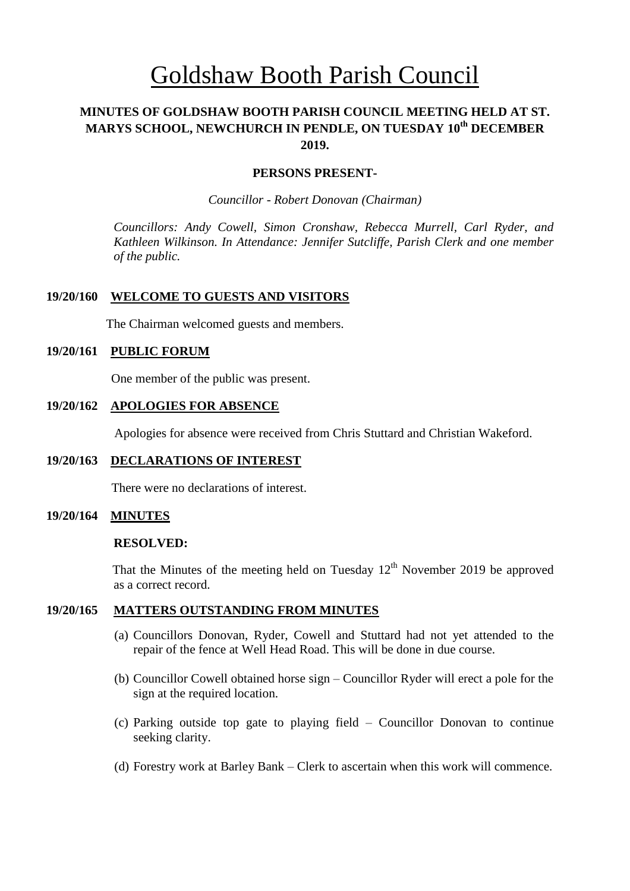# Goldshaw Booth Parish Council

# **MINUTES OF GOLDSHAW BOOTH PARISH COUNCIL MEETING HELD AT ST. MARYS SCHOOL, NEWCHURCH IN PENDLE, ON TUESDAY 10 th DECEMBER 2019.**

#### **PERSONS PRESENT-**

*Councillor* - *Robert Donovan (Chairman)*

*Councillors: Andy Cowell, Simon Cronshaw, Rebecca Murrell, Carl Ryder, and Kathleen Wilkinson. In Attendance: Jennifer Sutcliffe, Parish Clerk and one member of the public.*

#### **19/20/160 WELCOME TO GUESTS AND VISITORS**

The Chairman welcomed guests and members.

#### **19/20/161 PUBLIC FORUM**

One member of the public was present.

#### **19/20/162 APOLOGIES FOR ABSENCE**

Apologies for absence were received from Chris Stuttard and Christian Wakeford.

#### **19/20/163 DECLARATIONS OF INTEREST**

There were no declarations of interest.

#### **19/20/164 MINUTES**

#### **RESOLVED:**

That the Minutes of the meeting held on Tuesday  $12<sup>th</sup>$  November 2019 be approved as a correct record.

## **19/20/165 MATTERS OUTSTANDING FROM MINUTES**

- (a) Councillors Donovan, Ryder, Cowell and Stuttard had not yet attended to the repair of the fence at Well Head Road. This will be done in due course.
- (b) Councillor Cowell obtained horse sign Councillor Ryder will erect a pole for the sign at the required location.
- (c) Parking outside top gate to playing field Councillor Donovan to continue seeking clarity.
- (d) Forestry work at Barley Bank Clerk to ascertain when this work will commence.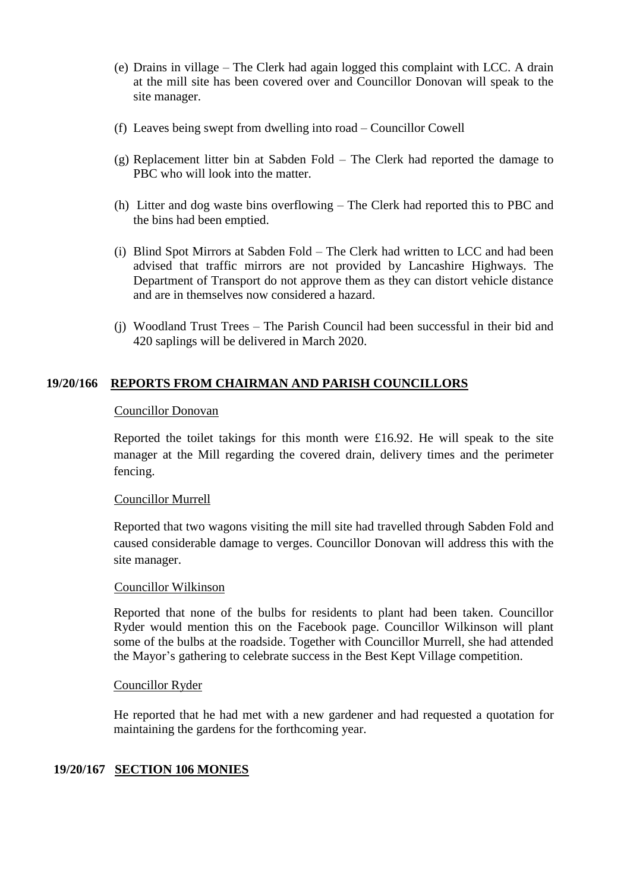- (e) Drains in village The Clerk had again logged this complaint with LCC. A drain at the mill site has been covered over and Councillor Donovan will speak to the site manager.
- (f) Leaves being swept from dwelling into road Councillor Cowell
- (g) Replacement litter bin at Sabden Fold The Clerk had reported the damage to PBC who will look into the matter.
- (h) Litter and dog waste bins overflowing The Clerk had reported this to PBC and the bins had been emptied.
- (i) Blind Spot Mirrors at Sabden Fold The Clerk had written to LCC and had been advised that traffic mirrors are not provided by Lancashire Highways. The Department of Transport do not approve them as they can distort vehicle distance and are in themselves now considered a hazard.
- (j) Woodland Trust Trees The Parish Council had been successful in their bid and 420 saplings will be delivered in March 2020.

# **19/20/166 REPORTS FROM CHAIRMAN AND PARISH COUNCILLORS**

## Councillor Donovan

Reported the toilet takings for this month were £16.92. He will speak to the site manager at the Mill regarding the covered drain, delivery times and the perimeter fencing.

## Councillor Murrell

Reported that two wagons visiting the mill site had travelled through Sabden Fold and caused considerable damage to verges. Councillor Donovan will address this with the site manager.

## Councillor Wilkinson

Reported that none of the bulbs for residents to plant had been taken. Councillor Ryder would mention this on the Facebook page. Councillor Wilkinson will plant some of the bulbs at the roadside. Together with Councillor Murrell, she had attended the Mayor's gathering to celebrate success in the Best Kept Village competition.

## Councillor Ryder

He reported that he had met with a new gardener and had requested a quotation for maintaining the gardens for the forthcoming year.

# **19/20/167 SECTION 106 MONIES**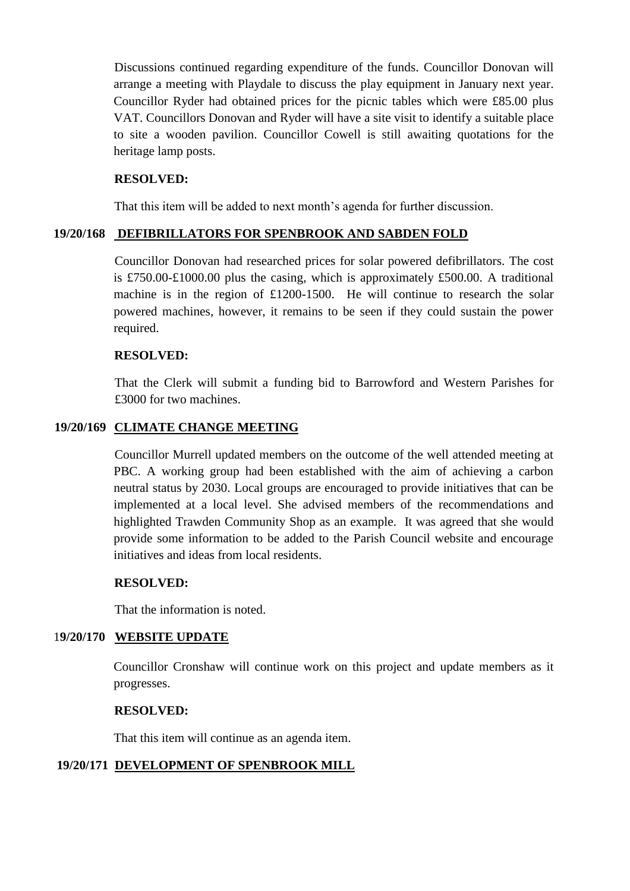Discussions continued regarding expenditure of the funds. Councillor Donovan will arrange a meeting with Playdale to discuss the play equipment in January next year. Councillor Ryder had obtained prices for the picnic tables which were £85.00 plus VAT. Councillors Donovan and Ryder will have a site visit to identify a suitable place to site a wooden pavilion. Councillor Cowell is still awaiting quotations for the heritage lamp posts.

## **RESOLVED:**

That this item will be added to next month's agenda for further discussion.

## **19/20/168 DEFIBRILLATORS FOR SPENBROOK AND SABDEN FOLD**

Councillor Donovan had researched prices for solar powered defibrillators. The cost is £750.00-£1000.00 plus the casing, which is approximately £500.00. A traditional machine is in the region of £1200-1500. He will continue to research the solar powered machines, however, it remains to be seen if they could sustain the power required.

## **RESOLVED:**

That the Clerk will submit a funding bid to Barrowford and Western Parishes for £3000 for two machines.

## **19/20/169 CLIMATE CHANGE MEETING**

Councillor Murrell updated members on the outcome of the well attended meeting at PBC. A working group had been established with the aim of achieving a carbon neutral status by 2030. Local groups are encouraged to provide initiatives that can be implemented at a local level. She advised members of the recommendations and highlighted Trawden Community Shop as an example. It was agreed that she would provide some information to be added to the Parish Council website and encourage initiatives and ideas from local residents.

## **RESOLVED:**

That the information is noted.

# 1**9/20/170 WEBSITE UPDATE**

Councillor Cronshaw will continue work on this project and update members as it progresses.

## **RESOLVED:**

That this item will continue as an agenda item.

## **19/20/171 DEVELOPMENT OF SPENBROOK MILL**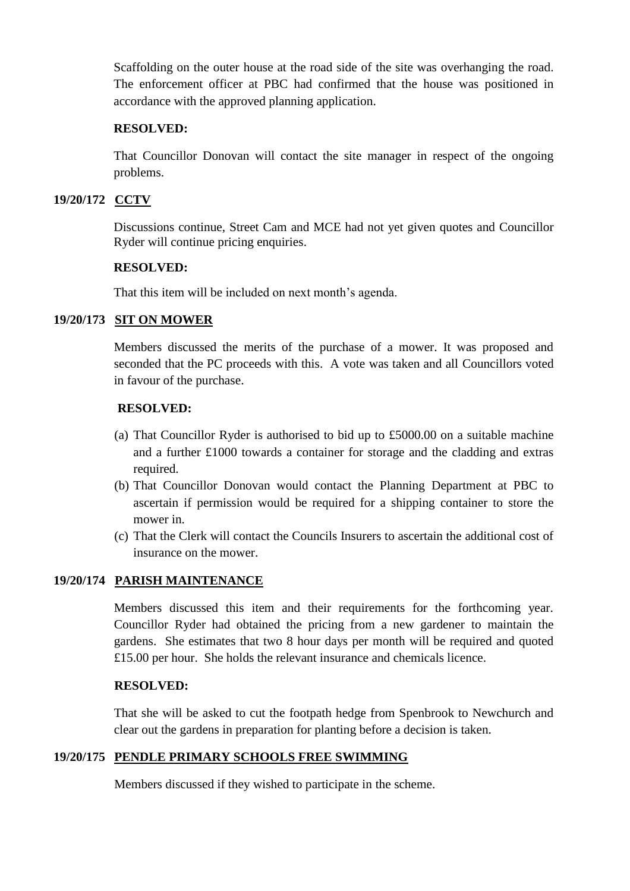Scaffolding on the outer house at the road side of the site was overhanging the road. The enforcement officer at PBC had confirmed that the house was positioned in accordance with the approved planning application.

## **RESOLVED:**

That Councillor Donovan will contact the site manager in respect of the ongoing problems.

## **19/20/172 CCTV**

Discussions continue, Street Cam and MCE had not yet given quotes and Councillor Ryder will continue pricing enquiries.

## **RESOLVED:**

That this item will be included on next month's agenda.

# **19/20/173 SIT ON MOWER**

Members discussed the merits of the purchase of a mower. It was proposed and seconded that the PC proceeds with this. A vote was taken and all Councillors voted in favour of the purchase.

## **RESOLVED:**

- (a) That Councillor Ryder is authorised to bid up to £5000.00 on a suitable machine and a further £1000 towards a container for storage and the cladding and extras required.
- (b) That Councillor Donovan would contact the Planning Department at PBC to ascertain if permission would be required for a shipping container to store the mower in.
- (c) That the Clerk will contact the Councils Insurers to ascertain the additional cost of insurance on the mower.

# **19/20/174 PARISH MAINTENANCE**

Members discussed this item and their requirements for the forthcoming year. Councillor Ryder had obtained the pricing from a new gardener to maintain the gardens. She estimates that two 8 hour days per month will be required and quoted £15.00 per hour. She holds the relevant insurance and chemicals licence.

## **RESOLVED:**

That she will be asked to cut the footpath hedge from Spenbrook to Newchurch and clear out the gardens in preparation for planting before a decision is taken.

# **19/20/175 PENDLE PRIMARY SCHOOLS FREE SWIMMING**

Members discussed if they wished to participate in the scheme.